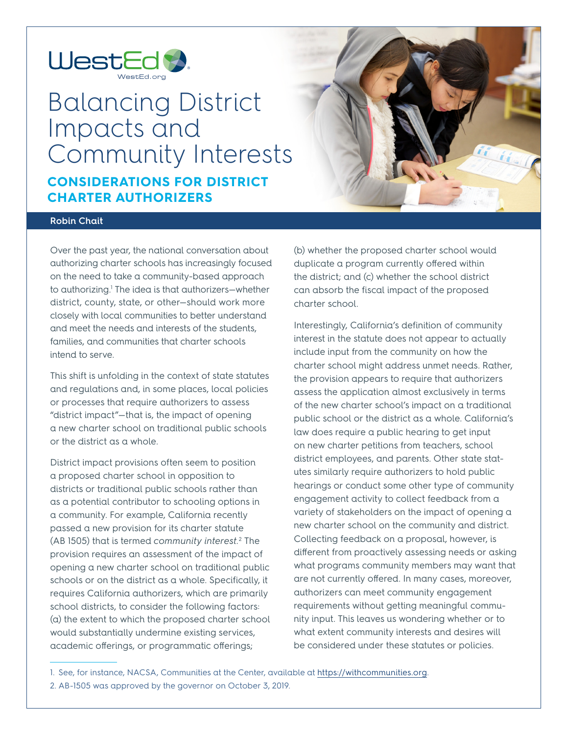

# Balancing District Impacts and Community Interests **CONSIDERATIONS FOR DISTRICT CHARTER AUTHORIZERS**



# **Robin Chait**

Over the past year, the national conversation about authorizing charter schools has increasingly focused on the need to take a community-based approach to authorizing.<sup>1</sup> The idea is that authorizers—whether district, county, state, or other—should work more closely with local communities to better understand and meet the needs and interests of the students, families, and communities that charter schools intend to serve.

This shift is unfolding in the context of state statutes and regulations and, in some places, local policies or processes that require authorizers to assess "district impact"—that is, the impact of opening a new charter school on traditional public schools or the district as a whole.

District impact provisions often seem to position a proposed charter school in opposition to districts or traditional public schools rather than as a potential contributor to schooling options in a community. For example, California recently passed a new provision for its charter statute (AB 1505) that is termed *community interest.*<sup>2</sup> The provision requires an assessment of the impact of opening a new charter school on traditional public schools or on the district as a whole. Specifically, it requires California authorizers, which are primarily school districts, to consider the following factors: (a) the extent to which the proposed charter school would substantially undermine existing services, academic offerings, or programmatic offerings;

(b) whether the proposed charter school would duplicate a program currently offered within the district; and (c) whether the school district can absorb the fiscal impact of the proposed charter school.

Interestingly, California's definition of community interest in the statute does not appear to actually include input from the community on how the charter school might address unmet needs. Rather, the provision appears to require that authorizers assess the application almost exclusively in terms of the new charter school's impact on a traditional public school or the district as a whole. California's law does require a public hearing to get input on new charter petitions from teachers, school district employees, and parents. Other state statutes similarly require authorizers to hold public hearings or conduct some other type of community engagement activity to collect feedback from a variety of stakeholders on the impact of opening a new charter school on the community and district. Collecting feedback on a proposal, however, is different from proactively assessing needs or asking what programs community members may want that are not currently offered. In many cases, moreover, authorizers can meet community engagement requirements without getting meaningful community input. This leaves us wondering whether or to what extent community interests and desires will be considered under these statutes or policies.

<sup>1.</sup> See, for instance, NACSA, Communities at the Center, available at [https://withcommunities.org.](https://withcommunities.org)

<sup>2.</sup> AB-1505 was approved by the governor on October 3, 2019.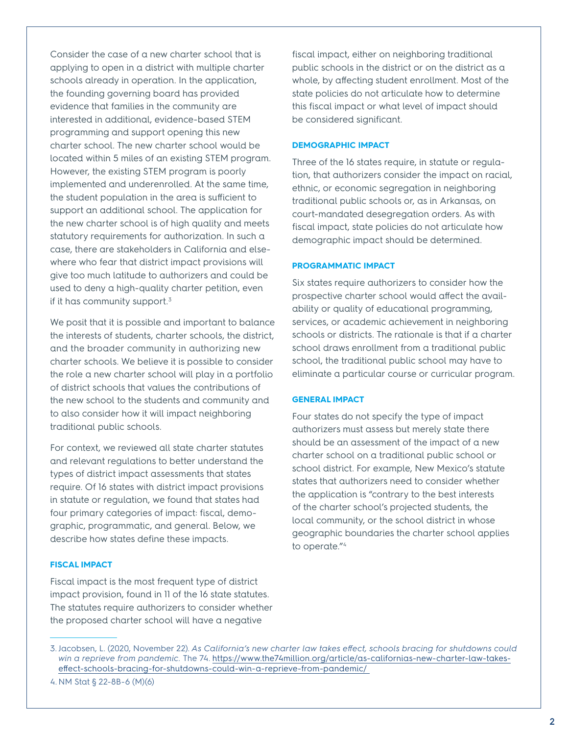Consider the case of a new charter school that is applying to open in a district with multiple charter schools already in operation. In the application, the founding governing board has provided evidence that families in the community are interested in additional, evidence-based STEM programming and support opening this new charter school. The new charter school would be located within 5 miles of an existing STEM program. However, the existing STEM program is poorly implemented and underenrolled. At the same time, the student population in the area is sufficient to support an additional school. The application for the new charter school is of high quality and meets statutory requirements for authorization. In such a case, there are stakeholders in California and elsewhere who fear that district impact provisions will give too much latitude to authorizers and could be used to deny a high-quality charter petition, even if it has community support.<sup>3</sup>

We posit that it is possible and important to balance the interests of students, charter schools, the district, and the broader community in authorizing new charter schools. We believe it is possible to consider the role a new charter school will play in a portfolio of district schools that values the contributions of the new school to the students and community and to also consider how it will impact neighboring traditional public schools.

For context, we reviewed all state charter statutes and relevant regulations to better understand the types of district impact assessments that states require. Of 16 states with district impact provisions in statute or regulation, we found that states had four primary categories of impact: fiscal, demographic, programmatic, and general. Below, we describe how states define these impacts.

## **FISCAL IMPACT**

Fiscal impact is the most frequent type of district impact provision, found in 11 of the 16 state statutes. The statutes require authorizers to consider whether the proposed charter school will have a negative

fiscal impact, either on neighboring traditional public schools in the district or on the district as a whole, by affecting student enrollment. Most of the state policies do not articulate how to determine this fiscal impact or what level of impact should be considered significant.

#### **DEMOGRAPHIC IMPACT**

Three of the 16 states require, in statute or regulation, that authorizers consider the impact on racial, ethnic, or economic segregation in neighboring traditional public schools or, as in Arkansas, on court-mandated desegregation orders. As with fiscal impact, state policies do not articulate how demographic impact should be determined.

# **PROGRAMMATIC IMPACT**

Six states require authorizers to consider how the prospective charter school would affect the availability or quality of educational programming, services, or academic achievement in neighboring schools or districts. The rationale is that if a charter school draws enrollment from a traditional public school, the traditional public school may have to eliminate a particular course or curricular program.

### **GENERAL IMPACT**

Four states do not specify the type of impact authorizers must assess but merely state there should be an assessment of the impact of a new charter school on a traditional public school or school district. For example, New Mexico's statute states that authorizers need to consider whether the application is "contrary to the best interests of the charter school's projected students, the local community, or the school district in whose geographic boundaries the charter school applies to operate."4

<sup>3.</sup> Jacobsen, L. (2020, November 22). *As California's new charter law takes effect, schools bracing for shutdowns could win a reprieve from pandemic.* The 74. [https://www.the74million.org/article/as-californias-new-charter-law-takes](https://www.the74million.org/article/as-californias-new-charter-law-takes-effect-schools-bracing-for-shutdowns-could-win-a-reprieve-from-pandemic/ )[effect-schools-bracing-for-shutdowns-could-win-a-reprieve-from-pandemic/](https://www.the74million.org/article/as-californias-new-charter-law-takes-effect-schools-bracing-for-shutdowns-could-win-a-reprieve-from-pandemic/ ) 

<sup>4.</sup> NM Stat § 22-8B-6 (M)(6)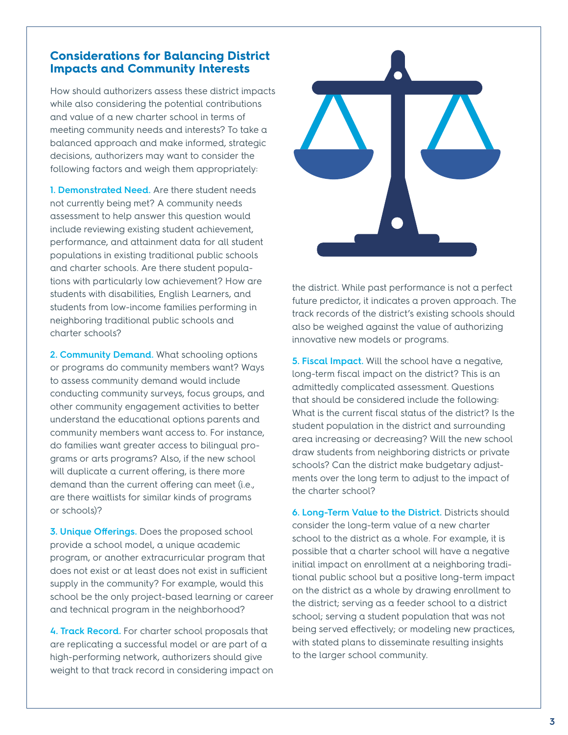# **Considerations for Balancing District Impacts and Community Interests**

How should authorizers assess these district impacts while also considering the potential contributions and value of a new charter school in terms of meeting community needs and interests? To take a balanced approach and make informed, strategic decisions, authorizers may want to consider the following factors and weigh them appropriately:

**1. Demonstrated Need.** Are there student needs not currently being met? A community needs assessment to help answer this question would include reviewing existing student achievement, performance, and attainment data for all student populations in existing traditional public schools and charter schools. Are there student populations with particularly low achievement? How are students with disabilities, English Learners, and students from low-income families performing in neighboring traditional public schools and charter schools?

**2. Community Demand.** What schooling options or programs do community members want? Ways to assess community demand would include conducting community surveys, focus groups, and other community engagement activities to better understand the educational options parents and community members want access to. For instance, do families want greater access to bilingual programs or arts programs? Also, if the new school will duplicate a current offering, is there more demand than the current offering can meet (i.e., are there waitlists for similar kinds of programs or schools)?

**3. Unique Offerings.** Does the proposed school provide a school model, a unique academic program, or another extracurricular program that does not exist or at least does not exist in sufficient supply in the community? For example, would this school be the only project-based learning or career and technical program in the neighborhood?

**4. Track Record.** For charter school proposals that are replicating a successful model or are part of a high-performing network, authorizers should give weight to that track record in considering impact on



the district. While past performance is not a perfect future predictor, it indicates a proven approach. The track records of the district's existing schools should also be weighed against the value of authorizing innovative new models or programs.

**5. Fiscal Impact.** Will the school have a negative, long-term fiscal impact on the district? This is an admittedly complicated assessment. Questions that should be considered include the following: What is the current fiscal status of the district? Is the student population in the district and surrounding area increasing or decreasing? Will the new school draw students from neighboring districts or private schools? Can the district make budgetary adjustments over the long term to adjust to the impact of the charter school?

**6. Long-Term Value to the District.** Districts should consider the long-term value of a new charter school to the district as a whole. For example, it is possible that a charter school will have a negative initial impact on enrollment at a neighboring traditional public school but a positive long-term impact on the district as a whole by drawing enrollment to the district; serving as a feeder school to a district school; serving a student population that was not being served effectively; or modeling new practices, with stated plans to disseminate resulting insights to the larger school community.